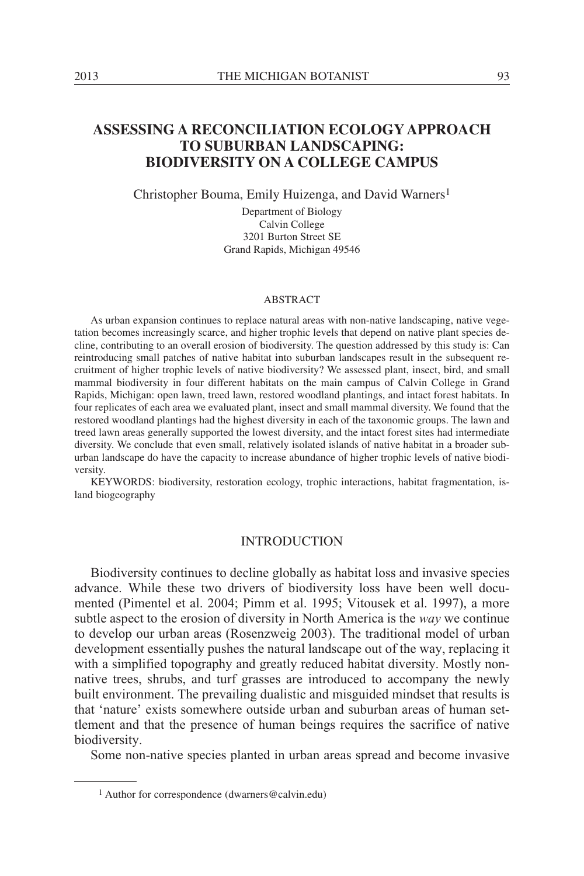# **ASSESSING A RECONCILIATION ECOLOGY APPROACH TO SUBURBAN LANDSCAPING: BIODIVERSITY ON A COLLEGE CAMPUS**

Christopher Bouma, Emily Huizenga, and David Warners1

Department of Biology Calvin College 3201 Burton Street SE Grand Rapids, Michigan 49546

#### ABSTRACT

As urban expansion continues to replace natural areas with non-native landscaping, native vegetation becomes increasingly scarce, and higher trophic levels that depend on native plant species decline, contributing to an overall erosion of biodiversity. The question addressed by this study is: Can reintroducing small patches of native habitat into suburban landscapes result in the subsequent recruitment of higher trophic levels of native biodiversity? We assessed plant, insect, bird, and small mammal biodiversity in four different habitats on the main campus of Calvin College in Grand Rapids, Michigan: open lawn, treed lawn, restored woodland plantings, and intact forest habitats. In four replicates of each area we evaluated plant, insect and small mammal diversity. We found that the restored woodland plantings had the highest diversity in each of the taxonomic groups. The lawn and treed lawn areas generally supported the lowest diversity, and the intact forest sites had intermediate diversity. We conclude that even small, relatively isolated islands of native habitat in a broader suburban landscape do have the capacity to increase abundance of higher trophic levels of native biodiversity.

KEYWORDS: biodiversity, restoration ecology, trophic interactions, habitat fragmentation, island biogeography

# **INTRODUCTION**

Biodiversity continues to decline globally as habitat loss and invasive species advance. While these two drivers of biodiversity loss have been well documented (Pimentel et al. 2004; Pimm et al. 1995; Vitousek et al. 1997), a more subtle aspect to the erosion of diversity in North America is the *way* we continue to develop our urban areas (Rosenzweig 2003). The traditional model of urban development essentially pushes the natural landscape out of the way, replacing it with a simplified topography and greatly reduced habitat diversity. Mostly nonnative trees, shrubs, and turf grasses are introduced to accompany the newly built environment. The prevailing dualistic and misguided mindset that results is that 'nature' exists somewhere outside urban and suburban areas of human settlement and that the presence of human beings requires the sacrifice of native biodiversity.

Some non-native species planted in urban areas spread and become invasive

<sup>1</sup> Author for correspondence (dwarners@calvin.edu)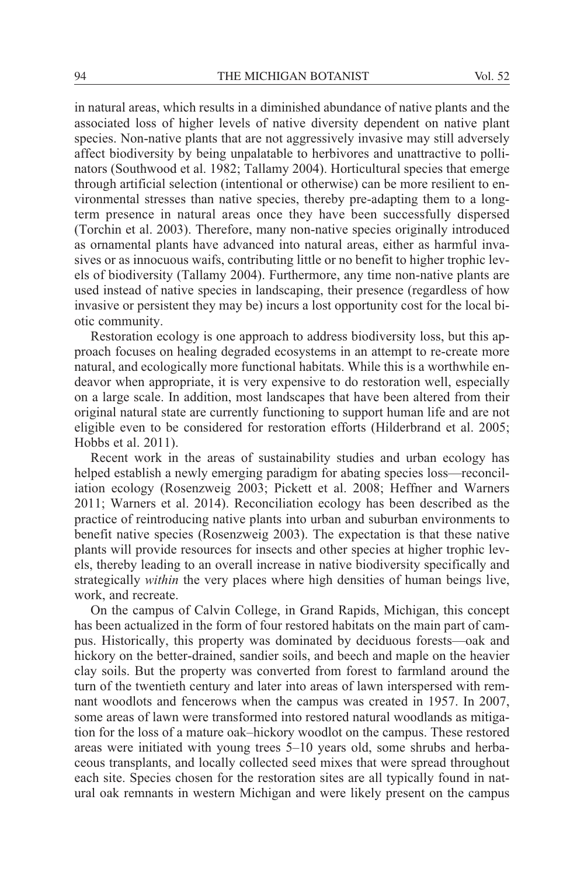in natural areas, which results in a diminished abundance of native plants and the associated loss of higher levels of native diversity dependent on native plant species. Non-native plants that are not aggressively invasive may still adversely affect biodiversity by being unpalatable to herbivores and unattractive to pollinators (Southwood et al. 1982; Tallamy 2004). Horticultural species that emerge through artificial selection (intentional or otherwise) can be more resilient to environmental stresses than native species, thereby pre-adapting them to a longterm presence in natural areas once they have been successfully dispersed (Torchin et al. 2003). Therefore, many non-native species originally introduced as ornamental plants have advanced into natural areas, either as harmful invasives or as innocuous waifs, contributing little or no benefit to higher trophic levels of biodiversity (Tallamy 2004). Furthermore, any time non-native plants are used instead of native species in landscaping, their presence (regardless of how invasive or persistent they may be) incurs a lost opportunity cost for the local biotic community.

Restoration ecology is one approach to address biodiversity loss, but this approach focuses on healing degraded ecosystems in an attempt to re-create more natural, and ecologically more functional habitats. While this is a worthwhile endeavor when appropriate, it is very expensive to do restoration well, especially on a large scale. In addition, most landscapes that have been altered from their original natural state are currently functioning to support human life and are not eligible even to be considered for restoration efforts (Hilderbrand et al. 2005; Hobbs et al. 2011).

Recent work in the areas of sustainability studies and urban ecology has helped establish a newly emerging paradigm for abating species loss—reconciliation ecology (Rosenzweig 2003; Pickett et al. 2008; Heffner and Warners 2011; Warners et al. 2014). Reconciliation ecology has been described as the practice of reintroducing native plants into urban and suburban environments to benefit native species (Rosenzweig 2003). The expectation is that these native plants will provide resources for insects and other species at higher trophic levels, thereby leading to an overall increase in native biodiversity specifically and strategically *within* the very places where high densities of human beings live, work, and recreate.

On the campus of Calvin College, in Grand Rapids, Michigan, this concept has been actualized in the form of four restored habitats on the main part of campus. Historically, this property was dominated by deciduous forests—oak and hickory on the better-drained, sandier soils, and beech and maple on the heavier clay soils. But the property was converted from forest to farmland around the turn of the twentieth century and later into areas of lawn interspersed with remnant woodlots and fencerows when the campus was created in 1957. In 2007, some areas of lawn were transformed into restored natural woodlands as mitigation for the loss of a mature oak–hickory woodlot on the campus. These restored areas were initiated with young trees 5–10 years old, some shrubs and herbaceous transplants, and locally collected seed mixes that were spread throughout each site. Species chosen for the restoration sites are all typically found in natural oak remnants in western Michigan and were likely present on the campus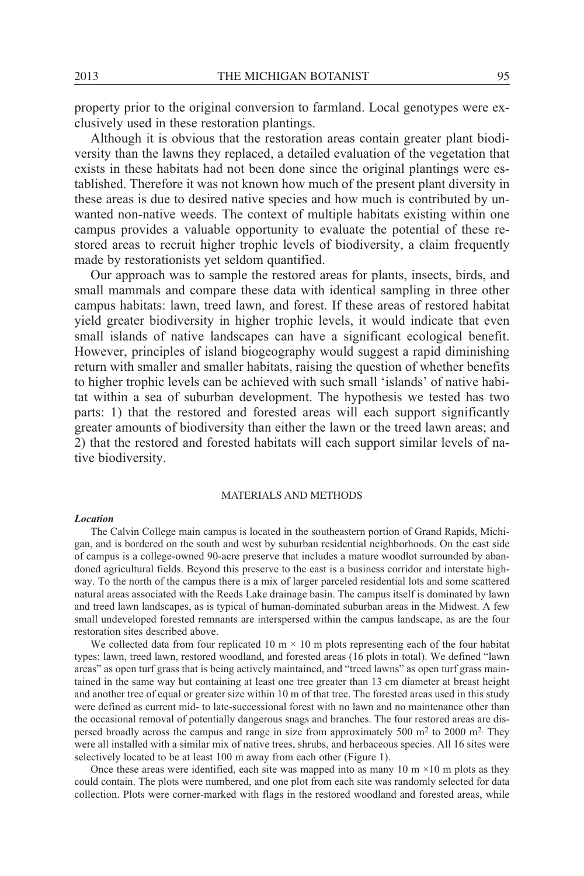property prior to the original conversion to farmland. Local genotypes were exclusively used in these restoration plantings.

Although it is obvious that the restoration areas contain greater plant biodiversity than the lawns they replaced, a detailed evaluation of the vegetation that exists in these habitats had not been done since the original plantings were established. Therefore it was not known how much of the present plant diversity in these areas is due to desired native species and how much is contributed by unwanted non-native weeds. The context of multiple habitats existing within one campus provides a valuable opportunity to evaluate the potential of these restored areas to recruit higher trophic levels of biodiversity, a claim frequently made by restorationists yet seldom quantified.

Our approach was to sample the restored areas for plants, insects, birds, and small mammals and compare these data with identical sampling in three other campus habitats: lawn, treed lawn, and forest. If these areas of restored habitat yield greater biodiversity in higher trophic levels, it would indicate that even small islands of native landscapes can have a significant ecological benefit. However, principles of island biogeography would suggest a rapid diminishing return with smaller and smaller habitats, raising the question of whether benefits to higher trophic levels can be achieved with such small 'islands' of native habitat within a sea of suburban development. The hypothesis we tested has two parts: 1) that the restored and forested areas will each support significantly greater amounts of biodiversity than either the lawn or the treed lawn areas; and 2) that the restored and forested habitats will each support similar levels of native biodiversity.

### MATERIALS AND METHODS

#### *Location*

The Calvin College main campus is located in the southeastern portion of Grand Rapids, Michigan, and is bordered on the south and west by suburban residential neighborhoods. On the east side of campus is a college-owned 90-acre preserve that includes a mature woodlot surrounded by abandoned agricultural fields. Beyond this preserve to the east is a business corridor and interstate highway. To the north of the campus there is a mix of larger parceled residential lots and some scattered natural areas associated with the Reeds Lake drainage basin. The campus itself is dominated by lawn and treed lawn landscapes, as is typical of human-dominated suburban areas in the Midwest. A few small undeveloped forested remnants are interspersed within the campus landscape, as are the four restoration sites described above.

We collected data from four replicated 10 m  $\times$  10 m plots representing each of the four habitat types: lawn, treed lawn, restored woodland, and forested areas (16 plots in total). We defined "lawn areas" as open turf grass that is being actively maintained, and "treed lawns" as open turf grass maintained in the same way but containing at least one tree greater than 13 cm diameter at breast height and another tree of equal or greater size within 10 m of that tree. The forested areas used in this study were defined as current mid- to late-successional forest with no lawn and no maintenance other than the occasional removal of potentially dangerous snags and branches. The four restored areas are dispersed broadly across the campus and range in size from approximately 500  $m<sup>2</sup>$  to 2000  $m<sup>2</sup>$ . They were all installed with a similar mix of native trees, shrubs, and herbaceous species. All 16 sites were selectively located to be at least 100 m away from each other (Figure 1).

Once these areas were identified, each site was mapped into as many 10 m  $\times$ 10 m plots as they could contain. The plots were numbered, and one plot from each site was randomly selected for data collection. Plots were corner-marked with flags in the restored woodland and forested areas, while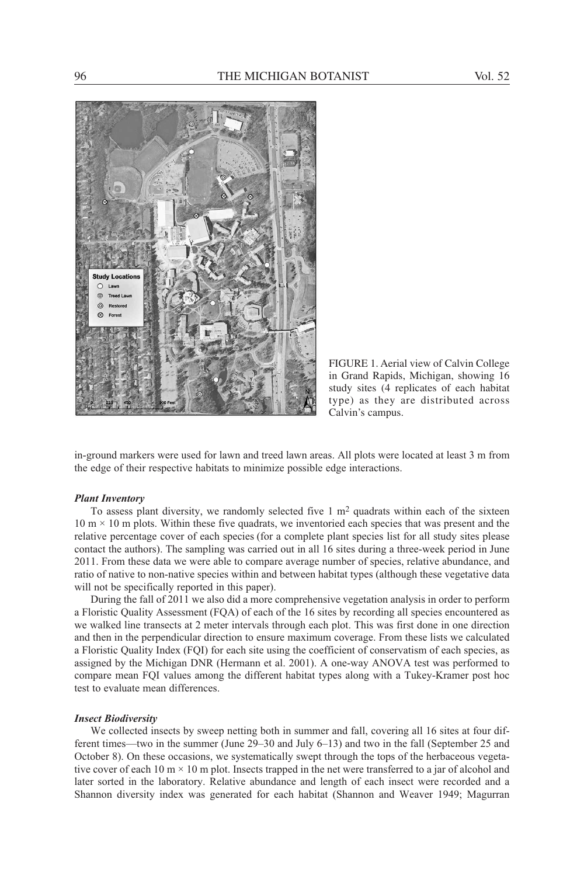

FIGURE 1. Aerial view of Calvin College in Grand Rapids, Michigan, showing 16 study sites (4 replicates of each habitat type) as they are distributed across Calvin's campus.

in-ground markers were used for lawn and treed lawn areas. All plots were located at least 3 m from the edge of their respective habitats to minimize possible edge interactions.

#### *Plant Inventory*

To assess plant diversity, we randomly selected five  $1 \text{ m}^2$  quadrats within each of the sixteen  $10 \text{ m} \times 10 \text{ m}$  plots. Within these five quadrats, we inventoried each species that was present and the relative percentage cover of each species (for a complete plant species list for all study sites please contact the authors). The sampling was carried out in all 16 sites during a three-week period in June 2011. From these data we were able to compare average number of species, relative abundance, and ratio of native to non-native species within and between habitat types (although these vegetative data will not be specifically reported in this paper).

During the fall of 2011 we also did a more comprehensive vegetation analysis in order to perform a Floristic Quality Assessment (FQA) of each of the 16 sites by recording all species encountered as we walked line transects at 2 meter intervals through each plot. This was first done in one direction and then in the perpendicular direction to ensure maximum coverage. From these lists we calculated a Floristic Quality Index (FQI) for each site using the coefficient of conservatism of each species, as assigned by the Michigan DNR (Hermann et al. 2001). A one-way ANOVA test was performed to compare mean FQI values among the different habitat types along with a Tukey-Kramer post hoc test to evaluate mean differences.

### *Insect Biodiversity*

We collected insects by sweep netting both in summer and fall, covering all 16 sites at four different times—two in the summer (June 29–30 and July 6–13) and two in the fall (September 25 and October 8). On these occasions, we systematically swept through the tops of the herbaceous vegetative cover of each 10 m  $\times$  10 m plot. Insects trapped in the net were transferred to a jar of alcohol and later sorted in the laboratory. Relative abundance and length of each insect were recorded and a Shannon diversity index was generated for each habitat (Shannon and Weaver 1949; Magurran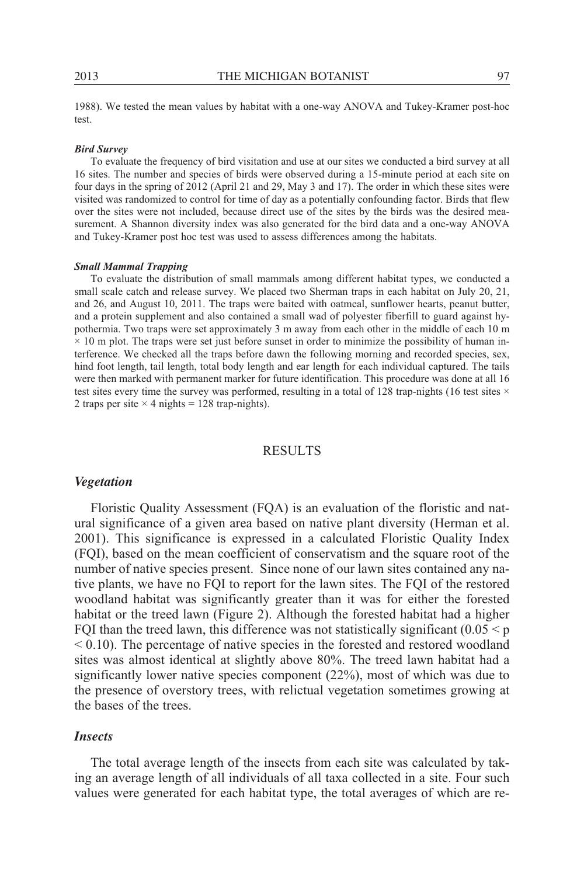1988). We tested the mean values by habitat with a one-way ANOVA and Tukey-Kramer post-hoc test.

#### *Bird Survey*

To evaluate the frequency of bird visitation and use at our sites we conducted a bird survey at all 16 sites. The number and species of birds were observed during a 15-minute period at each site on four days in the spring of 2012 (April 21 and 29, May 3 and 17). The order in which these sites were visited was randomized to control for time of day as a potentially confounding factor. Birds that flew over the sites were not included, because direct use of the sites by the birds was the desired measurement. A Shannon diversity index was also generated for the bird data and a one-way ANOVA and Tukey-Kramer post hoc test was used to assess differences among the habitats.

#### *Small Mammal Trapping*

To evaluate the distribution of small mammals among different habitat types, we conducted a small scale catch and release survey. We placed two Sherman traps in each habitat on July 20, 21, and 26, and August 10, 2011. The traps were baited with oatmeal, sunflower hearts, peanut butter, and a protein supplement and also contained a small wad of polyester fiberfill to guard against hypothermia. Two traps were set approximately 3 m away from each other in the middle of each 10 m  $\times$  10 m plot. The traps were set just before sunset in order to minimize the possibility of human interference. We checked all the traps before dawn the following morning and recorded species, sex, hind foot length, tail length, total body length and ear length for each individual captured. The tails were then marked with permanent marker for future identification. This procedure was done at all 16 test sites every time the survey was performed, resulting in a total of 128 trap-nights (16 test sites  $\times$ 2 traps per site  $\times$  4 nights = 128 trap-nights).

# RESULTS

# *Vegetation*

Floristic Quality Assessment (FQA) is an evaluation of the floristic and natural significance of a given area based on native plant diversity (Herman et al. 2001). This significance is expressed in a calculated Floristic Quality Index (FQI), based on the mean coefficient of conservatism and the square root of the number of native species present. Since none of our lawn sites contained any native plants, we have no FQI to report for the lawn sites. The FQI of the restored woodland habitat was significantly greater than it was for either the forested habitat or the treed lawn (Figure 2). Although the forested habitat had a higher FQI than the treed lawn, this difference was not statistically significant  $(0.05 \le p$ < 0.10). The percentage of native species in the forested and restored woodland sites was almost identical at slightly above 80%. The treed lawn habitat had a significantly lower native species component (22%), most of which was due to the presence of overstory trees, with relictual vegetation sometimes growing at the bases of the trees.

### *Insects*

The total average length of the insects from each site was calculated by taking an average length of all individuals of all taxa collected in a site. Four such values were generated for each habitat type, the total averages of which are re-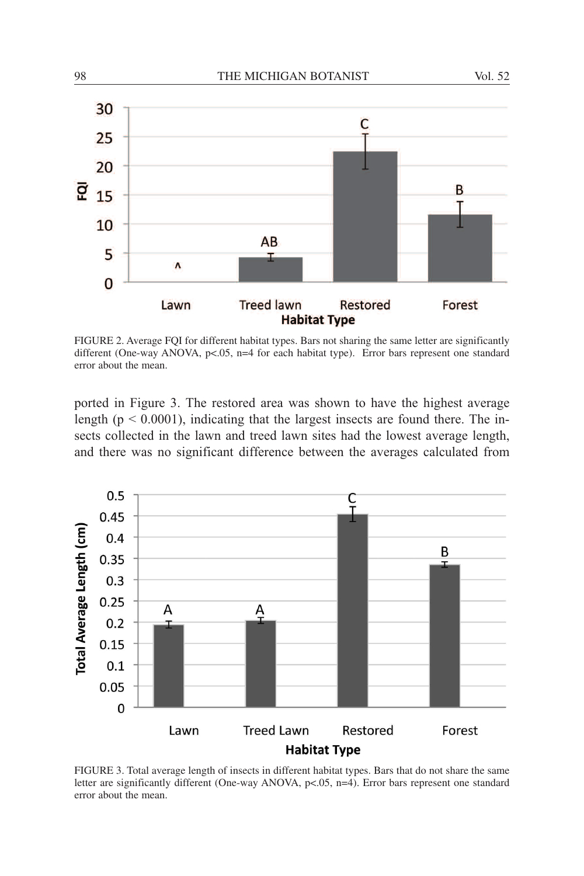

FIGURE 2. Average FQI for different habitat types. Bars not sharing the same letter are significantly different (One-way ANOVA, p<.05, n=4 for each habitat type). Error bars represent one standard error about the mean.

ported in Figure 3. The restored area was shown to have the highest average length ( $p < 0.0001$ ), indicating that the largest insects are found there. The insects collected in the lawn and treed lawn sites had the lowest average length, and there was no significant difference between the averages calculated from



FIGURE 3. Total average length of insects in different habitat types. Bars that do not share the same letter are significantly different (One-way ANOVA, p<.05, n=4). Error bars represent one standard error about the mean.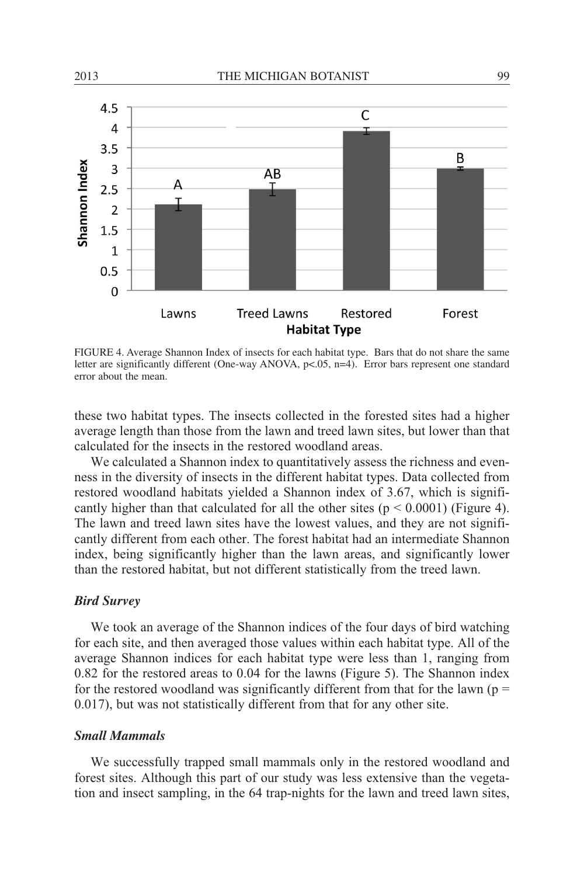

FIGURE 4. Average Shannon Index of insects for each habitat type. Bars that do not share the same letter are significantly different (One-way ANOVA, p<.05, n=4). Error bars represent one standard error about the mean.

these two habitat types. The insects collected in the forested sites had a higher average length than those from the lawn and treed lawn sites, but lower than that calculated for the insects in the restored woodland areas.

We calculated a Shannon index to quantitatively assess the richness and evenness in the diversity of insects in the different habitat types. Data collected from restored woodland habitats yielded a Shannon index of 3.67, which is significantly higher than that calculated for all the other sites ( $p \le 0.0001$ ) (Figure 4). The lawn and treed lawn sites have the lowest values, and they are not significantly different from each other. The forest habitat had an intermediate Shannon index, being significantly higher than the lawn areas, and significantly lower than the restored habitat, but not different statistically from the treed lawn.

### *Bird Survey*

We took an average of the Shannon indices of the four days of bird watching for each site, and then averaged those values within each habitat type. All of the average Shannon indices for each habitat type were less than 1, ranging from 0.82 for the restored areas to 0.04 for the lawns (Figure 5). The Shannon index for the restored woodland was significantly different from that for the lawn ( $p =$ 0.017), but was not statistically different from that for any other site.

# *Small Mammals*

We successfully trapped small mammals only in the restored woodland and forest sites. Although this part of our study was less extensive than the vegetation and insect sampling, in the 64 trap-nights for the lawn and treed lawn sites,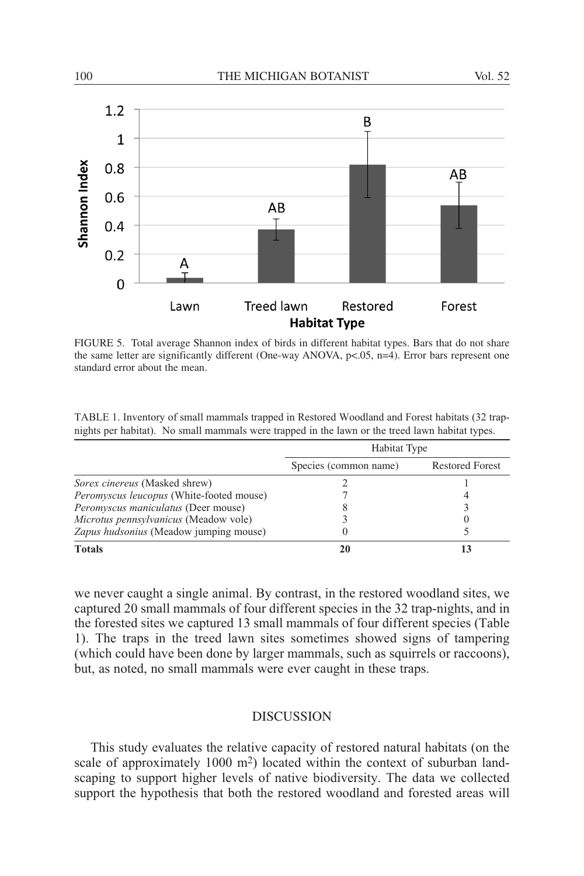

FIGURE 5. Total average Shannon index of birds in different habitat types. Bars that do not share the same letter are significantly different (One-way ANOVA,  $p<0.05$ ,  $n=4$ ). Error bars represent one standard error about the mean.

| TABLE 1. Inventory of small mammals trapped in Restored Woodland and Forest habitats (32 trap-  |  |  |
|-------------------------------------------------------------------------------------------------|--|--|
| nights per habitat). No small mammals were trapped in the lawn or the treed lawn habitat types. |  |  |

|                                                 | Habitat Type          |                        |  |
|-------------------------------------------------|-----------------------|------------------------|--|
|                                                 | Species (common name) | <b>Restored Forest</b> |  |
| <i>Sorex cinereus</i> (Masked shrew)            |                       |                        |  |
| <i>Peromyscus leucopus</i> (White-footed mouse) |                       |                        |  |
| <i>Peromyscus maniculatus</i> (Deer mouse)      |                       |                        |  |
| Microtus pennsylvanicus (Meadow vole)           |                       |                        |  |
| Zapus hudsonius (Meadow jumping mouse)          |                       |                        |  |
| <b>Totals</b>                                   | 20                    |                        |  |

we never caught a single animal. By contrast, in the restored woodland sites, we captured 20 small mammals of four different species in the 32 trap-nights, and in the forested sites we captured 13 small mammals of four different species (Table 1). The traps in the treed lawn sites sometimes showed signs of tampering (which could have been done by larger mammals, such as squirrels or raccoons), but, as noted, no small mammals were ever caught in these traps.

# **DISCUSSION**

This study evaluates the relative capacity of restored natural habitats (on the scale of approximately 1000 m<sup>2</sup>) located within the context of suburban landscaping to support higher levels of native biodiversity. The data we collected support the hypothesis that both the restored woodland and forested areas will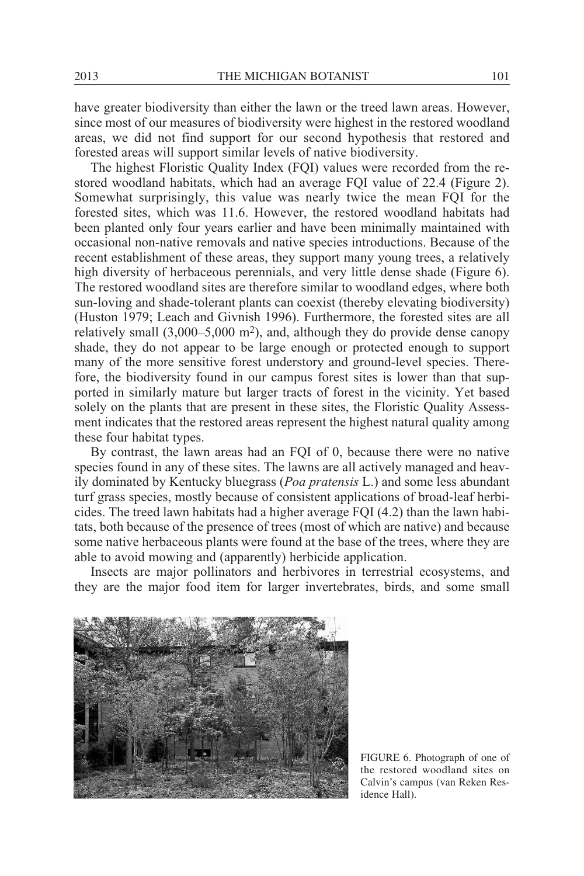have greater biodiversity than either the lawn or the treed lawn areas. However, since most of our measures of biodiversity were highest in the restored woodland areas, we did not find support for our second hypothesis that restored and forested areas will support similar levels of native biodiversity.

The highest Floristic Quality Index (FQI) values were recorded from the restored woodland habitats, which had an average FQI value of 22.4 (Figure 2). Somewhat surprisingly, this value was nearly twice the mean FQI for the forested sites, which was 11.6. However, the restored woodland habitats had been planted only four years earlier and have been minimally maintained with occasional non-native removals and native species introductions. Because of the recent establishment of these areas, they support many young trees, a relatively high diversity of herbaceous perennials, and very little dense shade (Figure 6). The restored woodland sites are therefore similar to woodland edges, where both sun-loving and shade-tolerant plants can coexist (thereby elevating biodiversity) (Huston 1979; Leach and Givnish 1996). Furthermore, the forested sites are all relatively small (3,000–5,000 m2), and, although they do provide dense canopy shade, they do not appear to be large enough or protected enough to support many of the more sensitive forest understory and ground-level species. Therefore, the biodiversity found in our campus forest sites is lower than that supported in similarly mature but larger tracts of forest in the vicinity. Yet based solely on the plants that are present in these sites, the Floristic Quality Assessment indicates that the restored areas represent the highest natural quality among these four habitat types.

By contrast, the lawn areas had an FQI of 0, because there were no native species found in any of these sites. The lawns are all actively managed and heavily dominated by Kentucky bluegrass (*Poa pratensis* L.) and some less abundant turf grass species, mostly because of consistent applications of broad-leaf herbicides. The treed lawn habitats had a higher average FQI (4.2) than the lawn habitats, both because of the presence of trees (most of which are native) and because some native herbaceous plants were found at the base of the trees, where they are able to avoid mowing and (apparently) herbicide application.

Insects are major pollinators and herbivores in terrestrial ecosystems, and they are the major food item for larger invertebrates, birds, and some small



FIGURE 6. Photograph of one of the restored woodland sites on Calvin's campus (van Reken Residence Hall).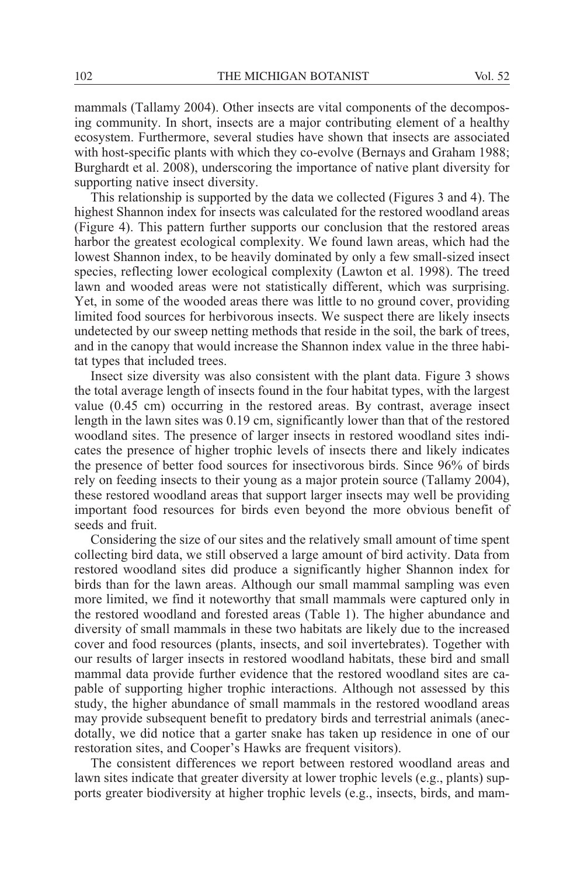mammals (Tallamy 2004). Other insects are vital components of the decomposing community. In short, insects are a major contributing element of a healthy ecosystem. Furthermore, several studies have shown that insects are associated with host-specific plants with which they co-evolve (Bernays and Graham 1988; Burghardt et al. 2008), underscoring the importance of native plant diversity for supporting native insect diversity.

This relationship is supported by the data we collected (Figures 3 and 4). The highest Shannon index for insects was calculated for the restored woodland areas (Figure 4). This pattern further supports our conclusion that the restored areas harbor the greatest ecological complexity. We found lawn areas, which had the lowest Shannon index, to be heavily dominated by only a few small-sized insect species, reflecting lower ecological complexity (Lawton et al. 1998). The treed lawn and wooded areas were not statistically different, which was surprising. Yet, in some of the wooded areas there was little to no ground cover, providing limited food sources for herbivorous insects. We suspect there are likely insects undetected by our sweep netting methods that reside in the soil, the bark of trees, and in the canopy that would increase the Shannon index value in the three habitat types that included trees.

Insect size diversity was also consistent with the plant data. Figure 3 shows the total average length of insects found in the four habitat types, with the largest value (0.45 cm) occurring in the restored areas. By contrast, average insect length in the lawn sites was 0.19 cm, significantly lower than that of the restored woodland sites. The presence of larger insects in restored woodland sites indicates the presence of higher trophic levels of insects there and likely indicates the presence of better food sources for insectivorous birds. Since 96% of birds rely on feeding insects to their young as a major protein source (Tallamy 2004), these restored woodland areas that support larger insects may well be providing important food resources for birds even beyond the more obvious benefit of seeds and fruit.

Considering the size of our sites and the relatively small amount of time spent collecting bird data, we still observed a large amount of bird activity. Data from restored woodland sites did produce a significantly higher Shannon index for birds than for the lawn areas. Although our small mammal sampling was even more limited, we find it noteworthy that small mammals were captured only in the restored woodland and forested areas (Table 1). The higher abundance and diversity of small mammals in these two habitats are likely due to the increased cover and food resources (plants, insects, and soil invertebrates). Together with our results of larger insects in restored woodland habitats, these bird and small mammal data provide further evidence that the restored woodland sites are capable of supporting higher trophic interactions. Although not assessed by this study, the higher abundance of small mammals in the restored woodland areas may provide subsequent benefit to predatory birds and terrestrial animals (anecdotally, we did notice that a garter snake has taken up residence in one of our restoration sites, and Cooper's Hawks are frequent visitors).

The consistent differences we report between restored woodland areas and lawn sites indicate that greater diversity at lower trophic levels (e.g., plants) supports greater biodiversity at higher trophic levels (e.g., insects, birds, and mam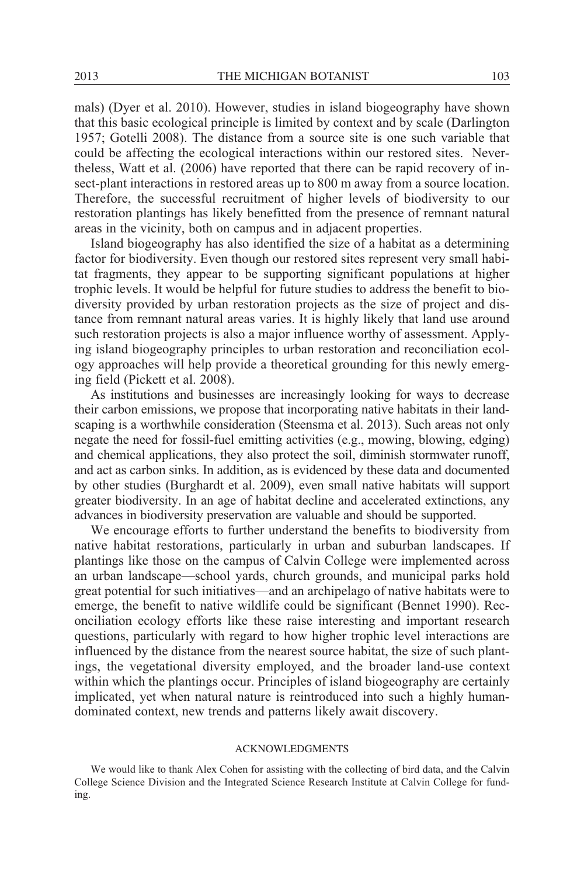mals) (Dyer et al. 2010). However, studies in island biogeography have shown that this basic ecological principle is limited by context and by scale (Darlington 1957; Gotelli 2008). The distance from a source site is one such variable that could be affecting the ecological interactions within our restored sites. Nevertheless, Watt et al. (2006) have reported that there can be rapid recovery of insect-plant interactions in restored areas up to 800 m away from a source location. Therefore, the successful recruitment of higher levels of biodiversity to our restoration plantings has likely benefitted from the presence of remnant natural areas in the vicinity, both on campus and in adjacent properties.

Island biogeography has also identified the size of a habitat as a determining factor for biodiversity. Even though our restored sites represent very small habitat fragments, they appear to be supporting significant populations at higher trophic levels. It would be helpful for future studies to address the benefit to biodiversity provided by urban restoration projects as the size of project and distance from remnant natural areas varies. It is highly likely that land use around such restoration projects is also a major influence worthy of assessment. Applying island biogeography principles to urban restoration and reconciliation ecology approaches will help provide a theoretical grounding for this newly emerging field (Pickett et al. 2008).

As institutions and businesses are increasingly looking for ways to decrease their carbon emissions, we propose that incorporating native habitats in their landscaping is a worthwhile consideration (Steensma et al. 2013). Such areas not only negate the need for fossil-fuel emitting activities (e.g., mowing, blowing, edging) and chemical applications, they also protect the soil, diminish stormwater runoff, and act as carbon sinks. In addition, as is evidenced by these data and documented by other studies (Burghardt et al. 2009), even small native habitats will support greater biodiversity. In an age of habitat decline and accelerated extinctions, any advances in biodiversity preservation are valuable and should be supported.

We encourage efforts to further understand the benefits to biodiversity from native habitat restorations, particularly in urban and suburban landscapes. If plantings like those on the campus of Calvin College were implemented across an urban landscape—school yards, church grounds, and municipal parks hold great potential for such initiatives—and an archipelago of native habitats were to emerge, the benefit to native wildlife could be significant (Bennet 1990). Reconciliation ecology efforts like these raise interesting and important research questions, particularly with regard to how higher trophic level interactions are influenced by the distance from the nearest source habitat, the size of such plantings, the vegetational diversity employed, and the broader land-use context within which the plantings occur. Principles of island biogeography are certainly implicated, yet when natural nature is reintroduced into such a highly humandominated context, new trends and patterns likely await discovery.

### ACKNOWLEDGMENTS

We would like to thank Alex Cohen for assisting with the collecting of bird data, and the Calvin College Science Division and the Integrated Science Research Institute at Calvin College for funding.